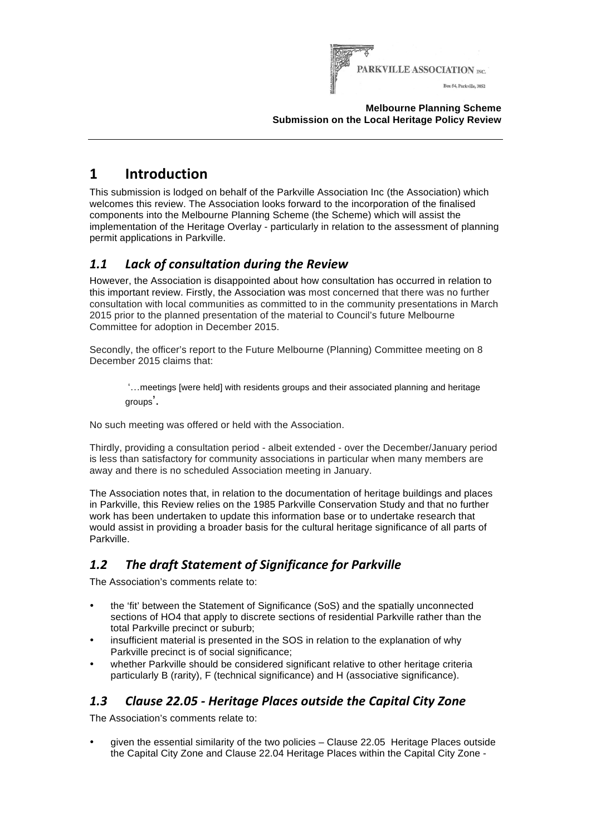

#### **Melbourne Planning Scheme Submission on the Local Heritage Policy Review**

# **1 Introduction**

This submission is lodged on behalf of the Parkville Association Inc (the Association) which welcomes this review. The Association looks forward to the incorporation of the finalised components into the Melbourne Planning Scheme (the Scheme) which will assist the implementation of the Heritage Overlay - particularly in relation to the assessment of planning permit applications in Parkville.

## *1.1 Lack of consultation during the Review*

However, the Association is disappointed about how consultation has occurred in relation to this important review. Firstly, the Association was most concerned that there was no further consultation with local communities as committed to in the community presentations in March 2015 prior to the planned presentation of the material to Council's future Melbourne Committee for adoption in December 2015.

Secondly, the officer's report to the Future Melbourne (Planning) Committee meeting on 8 December 2015 claims that:

'…meetings [were held] with residents groups and their associated planning and heritage groups'.

No such meeting was offered or held with the Association.

Thirdly, providing a consultation period - albeit extended - over the December/January period is less than satisfactory for community associations in particular when many members are away and there is no scheduled Association meeting in January.

The Association notes that, in relation to the documentation of heritage buildings and places in Parkville, this Review relies on the 1985 Parkville Conservation Study and that no further work has been undertaken to update this information base or to undertake research that would assist in providing a broader basis for the cultural heritage significance of all parts of Parkville.

## 1.2 The draft Statement of Significance for Parkville

The Association's comments relate to:

- the 'fit' between the Statement of Significance (SoS) and the spatially unconnected sections of HO4 that apply to discrete sections of residential Parkville rather than the total Parkville precinct or suburb;
- insufficient material is presented in the SOS in relation to the explanation of why Parkville precinct is of social significance:
- whether Parkville should be considered significant relative to other heritage criteria particularly B (rarity), F (technical significance) and H (associative significance).

### *1.3 Clause 22.05 - Heritage Places outside the Capital City Zone*

The Association's comments relate to:

• given the essential similarity of the two policies – Clause 22.05 Heritage Places outside the Capital City Zone and Clause 22.04 Heritage Places within the Capital City Zone -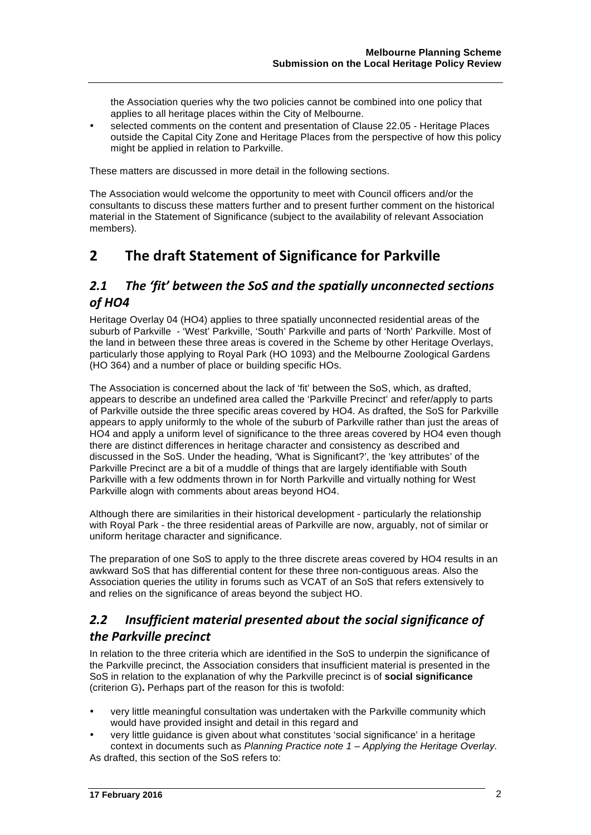the Association queries why the two policies cannot be combined into one policy that applies to all heritage places within the City of Melbourne.

• selected comments on the content and presentation of Clause 22.05 - Heritage Places outside the Capital City Zone and Heritage Places from the perspective of how this policy might be applied in relation to Parkville.

These matters are discussed in more detail in the following sections.

The Association would welcome the opportunity to meet with Council officers and/or the consultants to discuss these matters further and to present further comment on the historical material in the Statement of Significance (subject to the availability of relevant Association members).

## **2** The draft Statement of Significance for Parkville

#### **2.1** The 'fit' between the SoS and the spatially unconnected sections *of HO4*

Heritage Overlay 04 (HO4) applies to three spatially unconnected residential areas of the suburb of Parkville - 'West' Parkville, 'South' Parkville and parts of 'North' Parkville. Most of the land in between these three areas is covered in the Scheme by other Heritage Overlays, particularly those applying to Royal Park (HO 1093) and the Melbourne Zoological Gardens (HO 364) and a number of place or building specific HOs.

The Association is concerned about the lack of 'fit' between the SoS, which, as drafted, appears to describe an undefined area called the 'Parkville Precinct' and refer/apply to parts of Parkville outside the three specific areas covered by HO4. As drafted, the SoS for Parkville appears to apply uniformly to the whole of the suburb of Parkville rather than just the areas of HO4 and apply a uniform level of significance to the three areas covered by HO4 even though there are distinct differences in heritage character and consistency as described and discussed in the SoS. Under the heading, 'What is Significant?', the 'key attributes' of the Parkville Precinct are a bit of a muddle of things that are largely identifiable with South Parkville with a few oddments thrown in for North Parkville and virtually nothing for West Parkville alogn with comments about areas beyond HO4.

Although there are similarities in their historical development - particularly the relationship with Royal Park - the three residential areas of Parkville are now, arguably, not of similar or uniform heritage character and significance.

The preparation of one SoS to apply to the three discrete areas covered by HO4 results in an awkward SoS that has differential content for these three non-contiguous areas. Also the Association queries the utility in forums such as VCAT of an SoS that refers extensively to and relies on the significance of areas beyond the subject HO.

#### **2.2** Insufficient material presented about the social significance of *the Parkville precinct*

In relation to the three criteria which are identified in the SoS to underpin the significance of the Parkville precinct, the Association considers that insufficient material is presented in the SoS in relation to the explanation of why the Parkville precinct is of **social significance** (criterion G)**.** Perhaps part of the reason for this is twofold:

- very little meaningful consultation was undertaken with the Parkville community which would have provided insight and detail in this regard and
- very little guidance is given about what constitutes 'social significance' in a heritage context in documents such as Planning Practice note 1 – Applying the Heritage Overlay. As drafted, this section of the SoS refers to: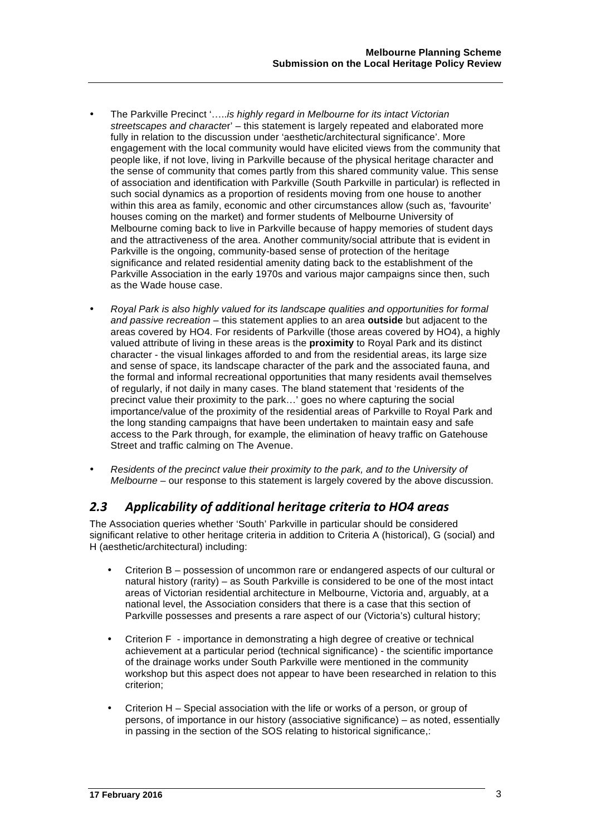- The Parkville Precinct '.....is highly regard in Melbourne for its intact Victorian streetscapes and character' – this statement is largely repeated and elaborated more fully in relation to the discussion under 'aesthetic/architectural significance'. More engagement with the local community would have elicited views from the community that people like, if not love, living in Parkville because of the physical heritage character and the sense of community that comes partly from this shared community value. This sense of association and identification with Parkville (South Parkville in particular) is reflected in such social dynamics as a proportion of residents moving from one house to another within this area as family, economic and other circumstances allow (such as, 'favourite' houses coming on the market) and former students of Melbourne University of Melbourne coming back to live in Parkville because of happy memories of student days and the attractiveness of the area. Another community/social attribute that is evident in Parkville is the ongoing, community-based sense of protection of the heritage significance and related residential amenity dating back to the establishment of the Parkville Association in the early 1970s and various major campaigns since then, such as the Wade house case.
- Royal Park is also highly valued for its landscape qualities and opportunities for formal and passive recreation – this statement applies to an area **outside** but adjacent to the areas covered by HO4. For residents of Parkville (those areas covered by HO4), a highly valued attribute of living in these areas is the **proximity** to Royal Park and its distinct character - the visual linkages afforded to and from the residential areas, its large size and sense of space, its landscape character of the park and the associated fauna, and the formal and informal recreational opportunities that many residents avail themselves of regularly, if not daily in many cases. The bland statement that 'residents of the precinct value their proximity to the park…' goes no where capturing the social importance/value of the proximity of the residential areas of Parkville to Royal Park and the long standing campaigns that have been undertaken to maintain easy and safe access to the Park through, for example, the elimination of heavy traffic on Gatehouse Street and traffic calming on The Avenue.
- Residents of the precinct value their proximity to the park, and to the University of Melbourne – our response to this statement is largely covered by the above discussion.

#### *2.3 Applicability of additional heritage criteria to HO4 areas*

The Association queries whether 'South' Parkville in particular should be considered significant relative to other heritage criteria in addition to Criteria A (historical), G (social) and H (aesthetic/architectural) including:

- Criterion B possession of uncommon rare or endangered aspects of our cultural or natural history (rarity) – as South Parkville is considered to be one of the most intact areas of Victorian residential architecture in Melbourne, Victoria and, arguably, at a national level, the Association considers that there is a case that this section of Parkville possesses and presents a rare aspect of our (Victoria's) cultural history;
- Criterion F importance in demonstrating a high degree of creative or technical achievement at a particular period (technical significance) - the scientific importance of the drainage works under South Parkville were mentioned in the community workshop but this aspect does not appear to have been researched in relation to this criterion;
- Criterion H Special association with the life or works of a person, or group of persons, of importance in our history (associative significance) – as noted, essentially in passing in the section of the SOS relating to historical significance,: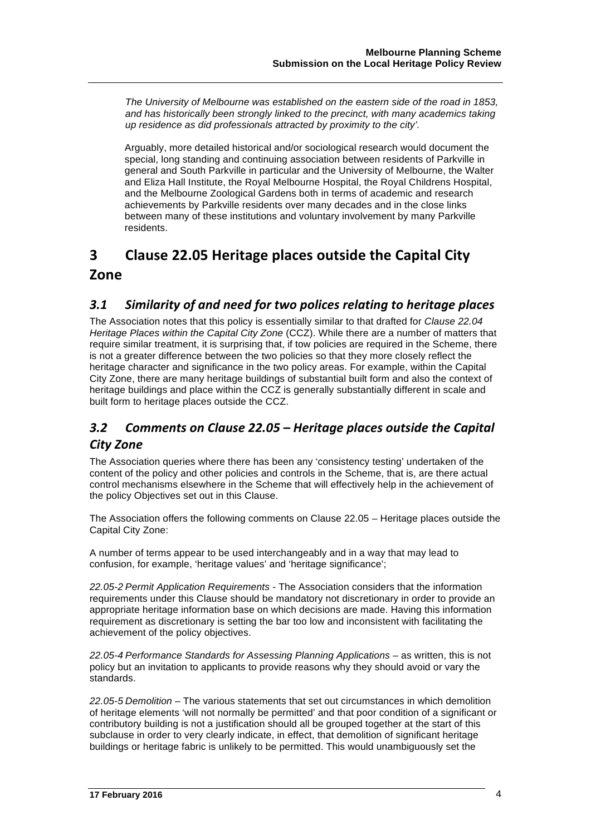The University of Melbourne was established on the eastern side of the road in 1853, and has historically been strongly linked to the precinct, with many academics taking up residence as did professionals attracted by proximity to the city'.

Arguably, more detailed historical and/or sociological research would document the special, long standing and continuing association between residents of Parkville in general and South Parkville in particular and the University of Melbourne, the Walter and Eliza Hall Institute, the Royal Melbourne Hospital, the Royal Childrens Hospital, and the Melbourne Zoological Gardens both in terms of academic and research achievements by Parkville residents over many decades and in the close links between many of these institutions and voluntary involvement by many Parkville residents.

# **3 Clause 22.05 Heritage places outside the Capital City Zone**

### *3.1 Similarity of and need for two polices relating to heritage places*

The Association notes that this policy is essentially similar to that drafted for Clause 22.04 Heritage Places within the Capital City Zone (CCZ). While there are a number of matters that require similar treatment, it is surprising that, if tow policies are required in the Scheme, there is not a greater difference between the two policies so that they more closely reflect the heritage character and significance in the two policy areas. For example, within the Capital City Zone, there are many heritage buildings of substantial built form and also the context of heritage buildings and place within the CCZ is generally substantially different in scale and built form to heritage places outside the CCZ.

## 3.2 Comments on Clause 22.05 – Heritage places outside the Capital *City Zone*

The Association queries where there has been any 'consistency testing' undertaken of the content of the policy and other policies and controls in the Scheme, that is, are there actual control mechanisms elsewhere in the Scheme that will effectively help in the achievement of the policy Objectives set out in this Clause.

The Association offers the following comments on Clause 22.05 – Heritage places outside the Capital City Zone:

A number of terms appear to be used interchangeably and in a way that may lead to confusion, for example, 'heritage values' and 'heritage significance';

22.05-2 Permit Application Requirements - The Association considers that the information requirements under this Clause should be mandatory not discretionary in order to provide an appropriate heritage information base on which decisions are made. Having this information requirement as discretionary is setting the bar too low and inconsistent with facilitating the achievement of the policy objectives.

22.05-4 Performance Standards for Assessing Planning Applications – as written, this is not policy but an invitation to applicants to provide reasons why they should avoid or vary the standards.

22.05-5 Demolition – The various statements that set out circumstances in which demolition of heritage elements 'will not normally be permitted' and that poor condition of a significant or contributory building is not a justification should all be grouped together at the start of this subclause in order to very clearly indicate, in effect, that demolition of significant heritage buildings or heritage fabric is unlikely to be permitted. This would unambiguously set the